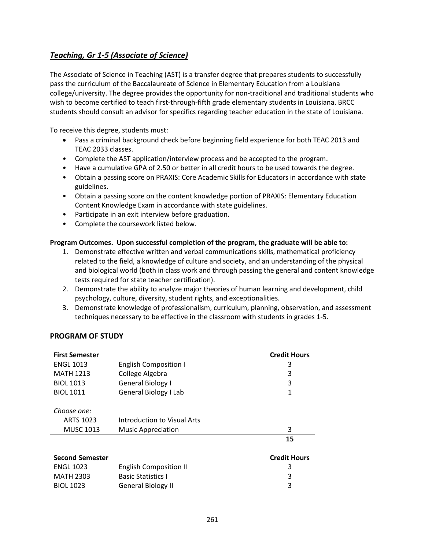## *Teaching, Gr 1-5 (Associate of Science)*

The Associate of Science in Teaching (AST) is a transfer degree that prepares students to successfully pass the curriculum of the Baccalaureate of Science in Elementary Education from a Louisiana college/university. The degree provides the opportunity for non-traditional and traditional students who wish to become certified to teach first-through-fifth grade elementary students in Louisiana. BRCC students should consult an advisor for specifics regarding teacher education in the state of Louisiana.

To receive this degree, students must:

- Pass a criminal background check before beginning field experience for both TEAC 2013 and TEAC 2033 classes.
- Complete the AST application/interview process and be accepted to the program.
- Have a cumulative GPA of 2.50 or better in all credit hours to be used towards the degree.
- Obtain a passing score on PRAXIS: Core Academic Skills for Educators in accordance with state guidelines.
- Obtain a passing score on the content knowledge portion of PRAXIS: Elementary Education Content Knowledge Exam in accordance with state guidelines.
- Participate in an exit interview before graduation.
- Complete the coursework listed below.

## **Program Outcomes. Upon successful completion of the program, the graduate will be able to:**

- 1. Demonstrate effective written and verbal communications skills, mathematical proficiency related to the field, a knowledge of culture and society, and an understanding of the physical and biological world (both in class work and through passing the general and content knowledge tests required for state teacher certification).
- 2. Demonstrate the ability to analyze major theories of human learning and development, child psychology, culture, diversity, student rights, and exceptionalities.
- 3. Demonstrate knowledge of professionalism, curriculum, planning, observation, and assessment techniques necessary to be effective in the classroom with students in grades 1-5.

## **PROGRAM OF STUDY**

| <b>First Semester</b>  |                               | <b>Credit Hours</b> |
|------------------------|-------------------------------|---------------------|
| <b>ENGL 1013</b>       | <b>English Composition I</b>  | 3                   |
| <b>MATH 1213</b>       | College Algebra               | 3                   |
| <b>BIOL 1013</b>       | General Biology I             | 3                   |
| <b>BIOL 1011</b>       | General Biology I Lab         | 1                   |
| Choose one:            |                               |                     |
| ARTS 1023              | Introduction to Visual Arts   |                     |
| <b>MUSC 1013</b>       | <b>Music Appreciation</b>     | 3                   |
|                        |                               | 15                  |
| <b>Second Semester</b> |                               | <b>Credit Hours</b> |
| <b>ENGL 1023</b>       | <b>English Composition II</b> | 3                   |
| <b>MATH 2303</b>       | <b>Basic Statistics I</b>     | 3                   |
| <b>BIOL 1023</b>       | <b>General Biology II</b>     | 3                   |